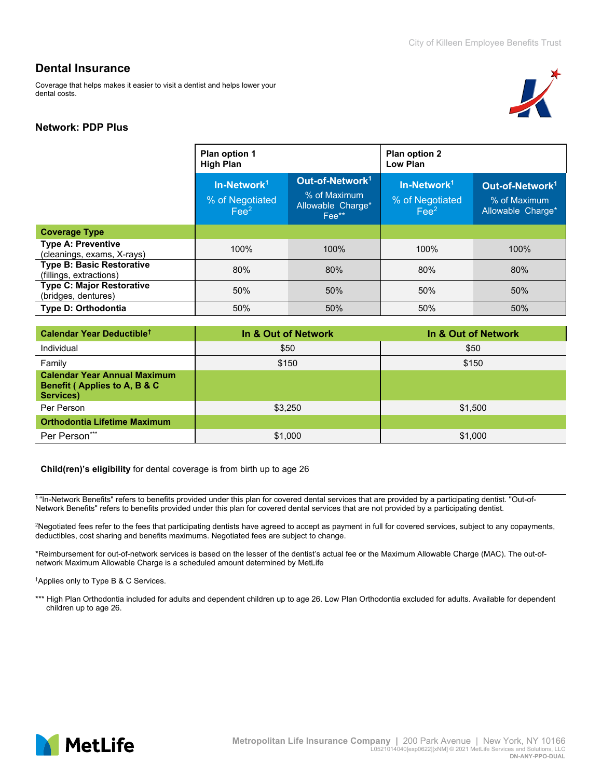Coverage that helps makes it easier to visit a dentist and helps lower your dental costs.



### **Network: PDP Plus**

|                                                             | Plan option 1<br><b>High Plan</b>                 |                                                                           | Plan option 2<br>Low Plan                                    |                                                                  |
|-------------------------------------------------------------|---------------------------------------------------|---------------------------------------------------------------------------|--------------------------------------------------------------|------------------------------------------------------------------|
|                                                             | $In-Network1$<br>% of Negotiated<br>$\text{Fe}^2$ | Out-of-Network <sup>1</sup><br>% of Maximum<br>Allowable Charge*<br>Fee** | In-Network <sup>1</sup><br>% of Negotiated<br>$\text{Fe}e^2$ | Out-of-Network <sup>1</sup><br>% of Maximum<br>Allowable Charge* |
| <b>Coverage Type</b>                                        |                                                   |                                                                           |                                                              |                                                                  |
| <b>Type A: Preventive</b><br>(cleanings, exams, X-rays)     | 100%                                              | 100%                                                                      | 100%                                                         | 100%                                                             |
| <b>Type B: Basic Restorative</b><br>(fillings, extractions) | 80%                                               | 80%                                                                       | 80%                                                          | 80%                                                              |
| <b>Type C: Major Restorative</b><br>(bridges, dentures)     | 50%                                               | 50%                                                                       | 50%                                                          | 50%                                                              |
| <b>Type D: Orthodontia</b>                                  | 50%                                               | 50%                                                                       | 50%                                                          | 50%                                                              |

| Calendar Year Deductible <sup>t</sup>                                            | In & Out of Network | In & Out of Network |
|----------------------------------------------------------------------------------|---------------------|---------------------|
| Individual                                                                       | \$50                | \$50                |
| Family                                                                           | \$150               | \$150               |
| <b>Calendar Year Annual Maximum</b><br>Benefit (Applies to A, B & C<br>Services) |                     |                     |
| Per Person                                                                       | \$3,250             | \$1,500             |
| <b>Orthodontia Lifetime Maximum</b>                                              |                     |                     |
| Per Person***                                                                    | \$1,000             | \$1,000             |

#### **Child(ren)'s eligibility** for dental coverage is from birth up to age 26

<sup>1</sup>"In-Network Benefits" refers to benefits provided under this plan for covered dental services that are provided by a participating dentist. "Out-of-Network Benefits" refers to benefits provided under this plan for covered dental services that are not provided by a participating dentist.

2 Negotiated fees refer to the fees that participating dentists have agreed to accept as payment in full for covered services, subject to any copayments, deductibles, cost sharing and benefits maximums. Negotiated fees are subject to change.

\*Reimbursement for out-of-network services is based on the lesser of the dentist's actual fee or the Maximum Allowable Charge (MAC). The out-ofnetwork Maximum Allowable Charge is a scheduled amount determined by MetLife

† Applies only to Type B & C Services.

\*\*\* High Plan Orthodontia included for adults and dependent children up to age 26. Low Plan Orthodontia excluded for adults. Available for dependent children up to age 26.

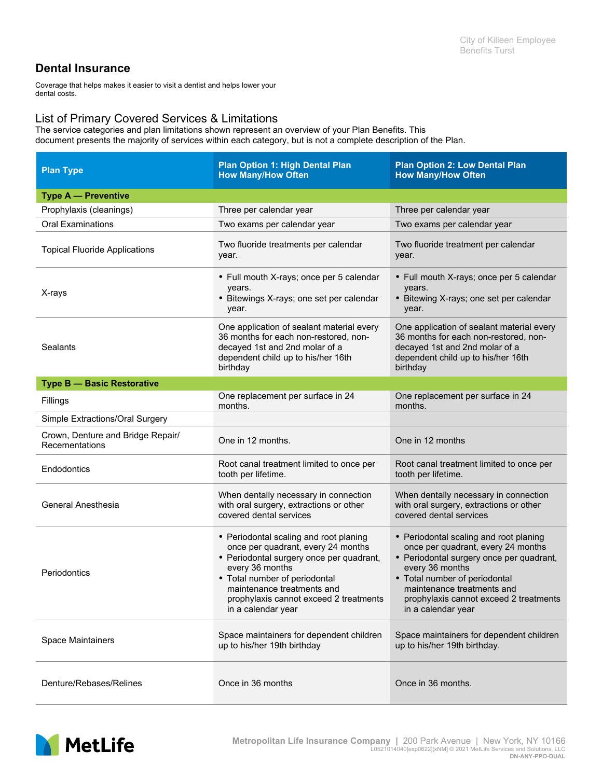Coverage that helps makes it easier to visit a dentist and helps lower your dental costs.

## List of Primary Covered Services & Limitations

The service categories and plan limitations shown represent an overview of your Plan Benefits. This document presents the majority of services within each category, but is not a complete description of the Plan.

| <b>Plan Type</b>                                    | <b>Plan Option 1: High Dental Plan</b><br><b>How Many/How Often</b>                                                                                                                                                                                                        | <b>Plan Option 2: Low Dental Plan</b><br><b>How Many/How Often</b>                                                                                                                                                                                                         |  |
|-----------------------------------------------------|----------------------------------------------------------------------------------------------------------------------------------------------------------------------------------------------------------------------------------------------------------------------------|----------------------------------------------------------------------------------------------------------------------------------------------------------------------------------------------------------------------------------------------------------------------------|--|
| <b>Type A - Preventive</b>                          |                                                                                                                                                                                                                                                                            |                                                                                                                                                                                                                                                                            |  |
| Prophylaxis (cleanings)                             | Three per calendar year                                                                                                                                                                                                                                                    | Three per calendar year                                                                                                                                                                                                                                                    |  |
| <b>Oral Examinations</b>                            | Two exams per calendar year                                                                                                                                                                                                                                                | Two exams per calendar year                                                                                                                                                                                                                                                |  |
| <b>Topical Fluoride Applications</b>                | Two fluoride treatments per calendar<br>year.                                                                                                                                                                                                                              | Two fluoride treatment per calendar<br>year.                                                                                                                                                                                                                               |  |
| X-rays                                              | • Full mouth X-rays; once per 5 calendar<br>years.<br>• Bitewings X-rays; one set per calendar<br>year.                                                                                                                                                                    | • Full mouth X-rays; once per 5 calendar<br>years.<br>• Bitewing X-rays; one set per calendar<br>year.                                                                                                                                                                     |  |
| Sealants                                            | One application of sealant material every<br>36 months for each non-restored, non-<br>decayed 1st and 2nd molar of a<br>dependent child up to his/her 16th<br>birthday                                                                                                     | One application of sealant material every<br>36 months for each non-restored, non-<br>decayed 1st and 2nd molar of a<br>dependent child up to his/her 16th<br>birthday                                                                                                     |  |
| <b>Type B - Basic Restorative</b>                   |                                                                                                                                                                                                                                                                            |                                                                                                                                                                                                                                                                            |  |
| Fillings                                            | One replacement per surface in 24<br>months.                                                                                                                                                                                                                               | One replacement per surface in 24<br>months.                                                                                                                                                                                                                               |  |
| Simple Extractions/Oral Surgery                     |                                                                                                                                                                                                                                                                            |                                                                                                                                                                                                                                                                            |  |
| Crown, Denture and Bridge Repair/<br>Recementations | One in 12 months.                                                                                                                                                                                                                                                          | One in 12 months                                                                                                                                                                                                                                                           |  |
| Endodontics                                         | Root canal treatment limited to once per<br>tooth per lifetime.                                                                                                                                                                                                            | Root canal treatment limited to once per<br>tooth per lifetime.                                                                                                                                                                                                            |  |
| General Anesthesia                                  | When dentally necessary in connection<br>with oral surgery, extractions or other<br>covered dental services                                                                                                                                                                | When dentally necessary in connection<br>with oral surgery, extractions or other<br>covered dental services                                                                                                                                                                |  |
| Periodontics                                        | • Periodontal scaling and root planing<br>once per quadrant, every 24 months<br>• Periodontal surgery once per quadrant,<br>every 36 months<br>• Total number of periodontal<br>maintenance treatments and<br>prophylaxis cannot exceed 2 treatments<br>in a calendar year | • Periodontal scaling and root planing<br>once per quadrant, every 24 months<br>• Periodontal surgery once per quadrant,<br>every 36 months<br>• Total number of periodontal<br>maintenance treatments and<br>prophylaxis cannot exceed 2 treatments<br>in a calendar year |  |
| <b>Space Maintainers</b>                            | Space maintainers for dependent children<br>up to his/her 19th birthday                                                                                                                                                                                                    | Space maintainers for dependent children<br>up to his/her 19th birthday.                                                                                                                                                                                                   |  |
| Denture/Rebases/Relines                             | Once in 36 months                                                                                                                                                                                                                                                          | Once in 36 months.                                                                                                                                                                                                                                                         |  |

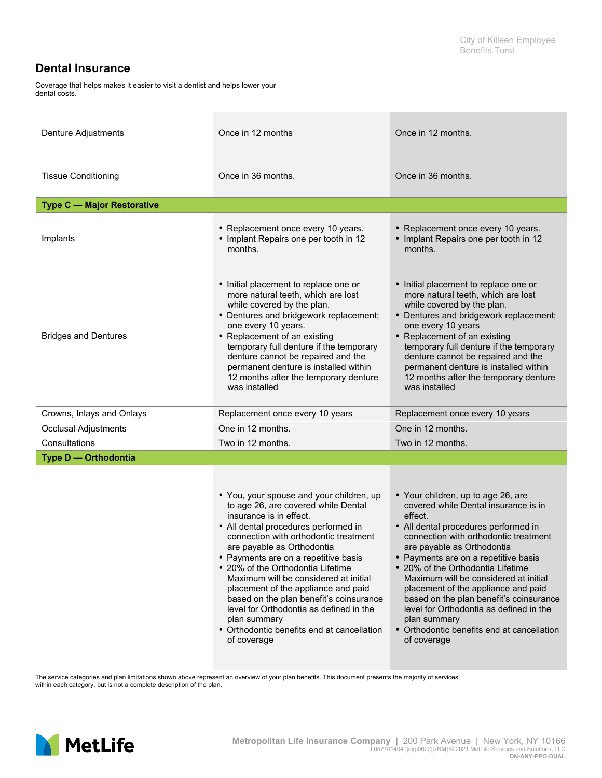Coverage that helps makes it easier to visit a dentist and helps lower your dental costs.

| Denture Adjustments               | Once in 12 months                                                                                                                                                                                                                                                                                                                                                                                                                                                                                                                                         | Once in 12 months.                                                                                                                                                                                                                                                                                                                                                                                                                                                                                                                   |  |
|-----------------------------------|-----------------------------------------------------------------------------------------------------------------------------------------------------------------------------------------------------------------------------------------------------------------------------------------------------------------------------------------------------------------------------------------------------------------------------------------------------------------------------------------------------------------------------------------------------------|--------------------------------------------------------------------------------------------------------------------------------------------------------------------------------------------------------------------------------------------------------------------------------------------------------------------------------------------------------------------------------------------------------------------------------------------------------------------------------------------------------------------------------------|--|
| <b>Tissue Conditioning</b>        | Once in 36 months.                                                                                                                                                                                                                                                                                                                                                                                                                                                                                                                                        | Once in 36 months.                                                                                                                                                                                                                                                                                                                                                                                                                                                                                                                   |  |
| <b>Type C - Major Restorative</b> |                                                                                                                                                                                                                                                                                                                                                                                                                                                                                                                                                           |                                                                                                                                                                                                                                                                                                                                                                                                                                                                                                                                      |  |
| Implants                          | • Replacement once every 10 years.<br>• Implant Repairs one per tooth in 12<br>months.                                                                                                                                                                                                                                                                                                                                                                                                                                                                    | • Replacement once every 10 years.<br>• Implant Repairs one per tooth in 12<br>months.                                                                                                                                                                                                                                                                                                                                                                                                                                               |  |
| <b>Bridges and Dentures</b>       | • Initial placement to replace one or<br>more natural teeth, which are lost<br>while covered by the plan.<br>• Dentures and bridgework replacement;<br>one every 10 years.<br>• Replacement of an existing<br>temporary full denture if the temporary<br>denture cannot be repaired and the<br>permanent denture is installed within<br>12 months after the temporary denture<br>was installed                                                                                                                                                            | • Initial placement to replace one or<br>more natural teeth, which are lost<br>while covered by the plan.<br>• Dentures and bridgework replacement;<br>one every 10 years<br>• Replacement of an existing<br>temporary full denture if the temporary<br>denture cannot be repaired and the<br>permanent denture is installed within<br>12 months after the temporary denture<br>was installed                                                                                                                                        |  |
| Crowns, Inlays and Onlays         | Replacement once every 10 years                                                                                                                                                                                                                                                                                                                                                                                                                                                                                                                           | Replacement once every 10 years                                                                                                                                                                                                                                                                                                                                                                                                                                                                                                      |  |
| <b>Occlusal Adjustments</b>       | One in 12 months.                                                                                                                                                                                                                                                                                                                                                                                                                                                                                                                                         | One in 12 months.                                                                                                                                                                                                                                                                                                                                                                                                                                                                                                                    |  |
| Consultations                     | Two in 12 months.                                                                                                                                                                                                                                                                                                                                                                                                                                                                                                                                         | Two in 12 months.                                                                                                                                                                                                                                                                                                                                                                                                                                                                                                                    |  |
| Type D - Orthodontia              |                                                                                                                                                                                                                                                                                                                                                                                                                                                                                                                                                           |                                                                                                                                                                                                                                                                                                                                                                                                                                                                                                                                      |  |
|                                   | • You, your spouse and your children, up<br>to age 26, are covered while Dental<br>insurance is in effect.<br>• All dental procedures performed in<br>connection with orthodontic treatment<br>are payable as Orthodontia<br>• Payments are on a repetitive basis<br>• 20% of the Orthodontia Lifetime<br>Maximum will be considered at initial<br>placement of the appliance and paid<br>based on the plan benefit's coinsurance<br>level for Orthodontia as defined in the<br>plan summary<br>• Orthodontic benefits end at cancellation<br>of coverage | • Your children, up to age 26, are<br>covered while Dental insurance is in<br>effect.<br>• All dental procedures performed in<br>connection with orthodontic treatment<br>are payable as Orthodontia<br>• Payments are on a repetitive basis<br>• 20% of the Orthodontia Lifetime<br>Maximum will be considered at initial<br>placement of the appliance and paid<br>based on the plan benefit's coinsurance<br>level for Orthodontia as defined in the<br>plan summary<br>• Orthodontic benefits end at cancellation<br>of coverage |  |

The service categories and plan limitations shown above represent an overview of your plan benefits. This document presents the majority of services<br>within each category, but is not a complete description of the plan.

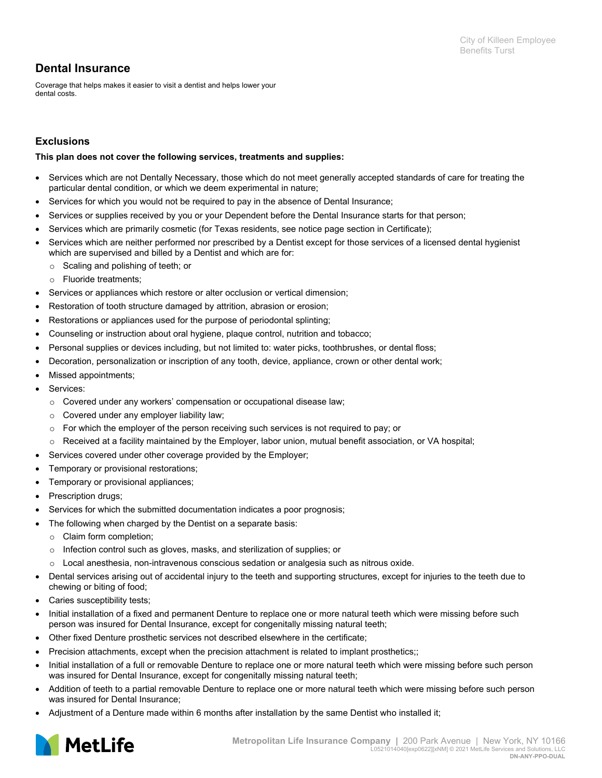Coverage that helps makes it easier to visit a dentist and helps lower your dental costs.

### **Exclusions**

#### **This plan does not cover the following services, treatments and supplies:**

- Services which are not Dentally Necessary, those which do not meet generally accepted standards of care for treating the particular dental condition, or which we deem experimental in nature;
- Services for which you would not be required to pay in the absence of Dental Insurance;
- Services or supplies received by you or your Dependent before the Dental Insurance starts for that person;
- Services which are primarily cosmetic (for Texas residents, see notice page section in Certificate);
- Services which are neither performed nor prescribed by a Dentist except for those services of a licensed dental hygienist which are supervised and billed by a Dentist and which are for:
	- o Scaling and polishing of teeth; or
	- o Fluoride treatments;
- Services or appliances which restore or alter occlusion or vertical dimension;
- Restoration of tooth structure damaged by attrition, abrasion or erosion;
- Restorations or appliances used for the purpose of periodontal splinting;
- Counseling or instruction about oral hygiene, plaque control, nutrition and tobacco;
- Personal supplies or devices including, but not limited to: water picks, toothbrushes, or dental floss;
- Decoration, personalization or inscription of any tooth, device, appliance, crown or other dental work;
- Missed appointments;
- Services:
	- $\circ$  Covered under any workers' compensation or occupational disease law;
	- o Covered under any employer liability law;
	- $\circ$  For which the employer of the person receiving such services is not required to pay; or
	- o Received at a facility maintained by the Employer, labor union, mutual benefit association, or VA hospital;
- Services covered under other coverage provided by the Employer;
- Temporary or provisional restorations;
- Temporary or provisional appliances;
- Prescription drugs;
- Services for which the submitted documentation indicates a poor prognosis;
- The following when charged by the Dentist on a separate basis:
	- o Claim form completion;
	- o Infection control such as gloves, masks, and sterilization of supplies; or
- o Local anesthesia, non-intravenous conscious sedation or analgesia such as nitrous oxide.
- Dental services arising out of accidental injury to the teeth and supporting structures, except for injuries to the teeth due to chewing or biting of food;
- Caries susceptibility tests;
- Initial installation of a fixed and permanent Denture to replace one or more natural teeth which were missing before such person was insured for Dental Insurance, except for congenitally missing natural teeth;
- Other fixed Denture prosthetic services not described elsewhere in the certificate;
- Precision attachments, except when the precision attachment is related to implant prosthetics;;
- Initial installation of a full or removable Denture to replace one or more natural teeth which were missing before such person was insured for Dental Insurance, except for congenitally missing natural teeth;
- Addition of teeth to a partial removable Denture to replace one or more natural teeth which were missing before such person was insured for Dental Insurance;
- Adjustment of a Denture made within 6 months after installation by the same Dentist who installed it;

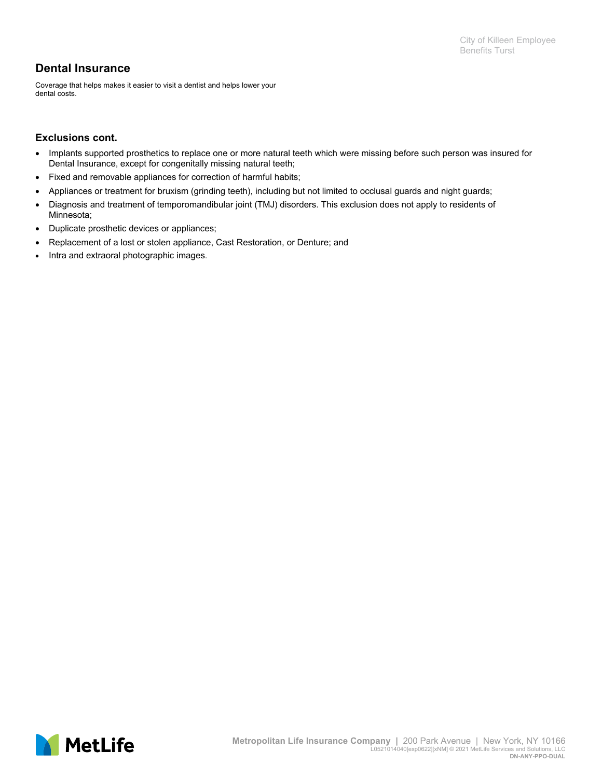Coverage that helps makes it easier to visit a dentist and helps lower your dental costs.

### **Exclusions cont.**

- Implants supported prosthetics to replace one or more natural teeth which were missing before such person was insured for Dental Insurance, except for congenitally missing natural teeth;
- Fixed and removable appliances for correction of harmful habits;
- Appliances or treatment for bruxism (grinding teeth), including but not limited to occlusal guards and night guards;
- Diagnosis and treatment of temporomandibular joint (TMJ) disorders. This exclusion does not apply to residents of Minnesota;
- Duplicate prosthetic devices or appliances;
- Replacement of a lost or stolen appliance, Cast Restoration, or Denture; and
- Intra and extraoral photographic images.

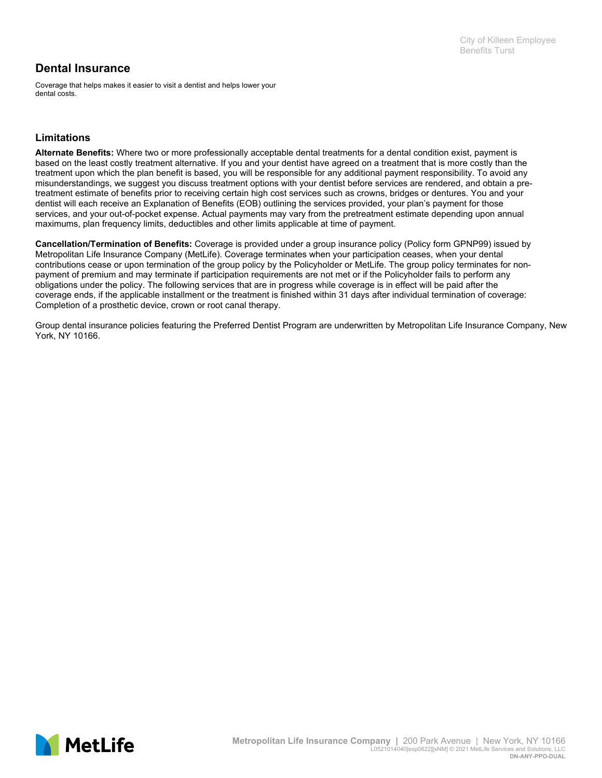Coverage that helps makes it easier to visit a dentist and helps lower your dental costs.

## **Limitations**

**Alternate Benefits:** Where two or more professionally acceptable dental treatments for a dental condition exist, payment is based on the least costly treatment alternative. If you and your dentist have agreed on a treatment that is more costly than the treatment upon which the plan benefit is based, you will be responsible for any additional payment responsibility. To avoid any misunderstandings, we suggest you discuss treatment options with your dentist before services are rendered, and obtain a pretreatment estimate of benefits prior to receiving certain high cost services such as crowns, bridges or dentures. You and your dentist will each receive an Explanation of Benefits (EOB) outlining the services provided, your plan's payment for those services, and your out-of-pocket expense. Actual payments may vary from the pretreatment estimate depending upon annual maximums, plan frequency limits, deductibles and other limits applicable at time of payment.

**Cancellation/Termination of Benefits:** Coverage is provided under a group insurance policy (Policy form GPNP99) issued by Metropolitan Life Insurance Company (MetLife). Coverage terminates when your participation ceases, when your dental contributions cease or upon termination of the group policy by the Policyholder or MetLife. The group policy terminates for nonpayment of premium and may terminate if participation requirements are not met or if the Policyholder fails to perform any obligations under the policy. The following services that are in progress while coverage is in effect will be paid after the coverage ends, if the applicable installment or the treatment is finished within 31 days after individual termination of coverage: Completion of a prosthetic device, crown or root canal therapy.

Group dental insurance policies featuring the Preferred Dentist Program are underwritten by Metropolitan Life Insurance Company, New York, NY 10166.

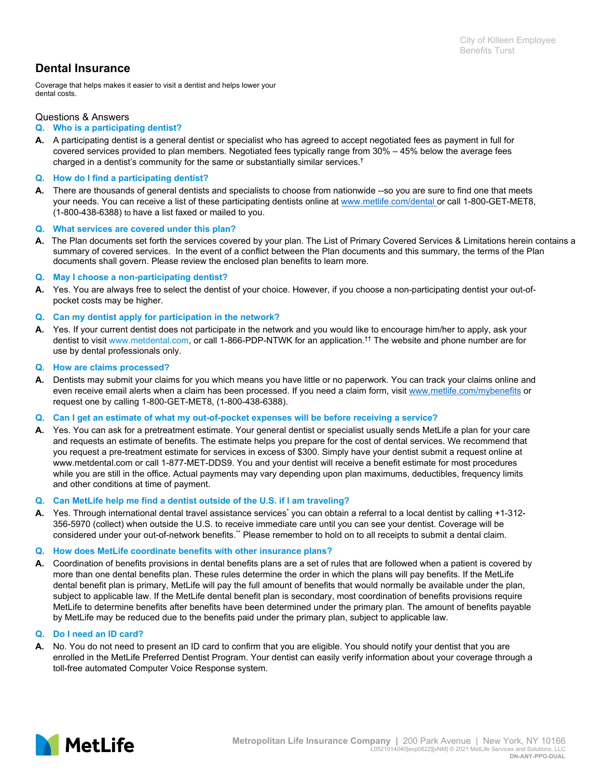Coverage that helps makes it easier to visit a dentist and helps lower your dental costs.

#### Questions & Answers

#### **Q. Who is a participating dentist?**

**A.** A participating dentist is a general dentist or specialist who has agreed to accept negotiated fees as payment in full for covered services provided to plan members. Negotiated fees typically range from 30% – 45% below the average fees charged in a dentist's community for the same or substantially similar services.†

#### **Q. How do I find a participating dentist?**

**A.** There are thousands of general dentists and specialists to choose from nationwide --so you are sure to find one that meets your needs. You can receive a list of these participating dentists online at www.metlife.com/dental or call 1-800-GET-MET8, (1-800-438-6388) to have a list faxed or mailed to you.

#### **Q. What services are covered under this plan?**

**A.** The Plan documents set forth the services covered by your plan. The List of Primary Covered Services & Limitations herein contains a summary of covered services. In the event of a conflict between the Plan documents and this summary, the terms of the Plan documents shall govern. Please review the enclosed plan benefits to learn more.

#### **Q. May I choose a non-participating dentist?**

**A.** Yes. You are always free to select the dentist of your choice. However, if you choose a non-participating dentist your out-ofpocket costs may be higher.

#### **Q. Can my dentist apply for participation in the network?**

**A.** Yes. If your current dentist does not participate in the network and you would like to encourage him/her to apply, ask your dentist to visit www.metdental.com, or call 1-866-PDP-NTWK for an application.†† The website and phone number are for use by dental professionals only.

#### **Q. How are claims processed?**

**A.** Dentists may submit your claims for you which means you have little or no paperwork. You can track your claims online and even receive email alerts when a claim has been processed. If you need a claim form, visit www.metlife.com/mybenefits or request one by calling 1-800-GET-MET8, (1-800-438-6388).

#### **Q. Can I get an estimate of what my out-of-pocket expenses will be before receiving a service?**

**A.** Yes. You can ask for a pretreatment estimate. Your general dentist or specialist usually sends MetLife a plan for your care and requests an estimate of benefits. The estimate helps you prepare for the cost of dental services. We recommend that you request a pre-treatment estimate for services in excess of \$300. Simply have your dentist submit a request online at www.metdental.com or call 1-877-MET-DDS9. You and your dentist will receive a benefit estimate for most procedures while you are still in the office. Actual payments may vary depending upon plan maximums, deductibles, frequency limits and other conditions at time of payment.

#### **Q. Can MetLife help me find a dentist outside of the U.S. if I am traveling?**

A. Yes. Through international dental travel assistance services<sup>\*</sup> you can obtain a referral to a local dentist by calling +1-312-356-5970 (collect) when outside the U.S. to receive immediate care until you can see your dentist. Coverage will be considered under your out-of-network benefits.\*\* Please remember to hold on to all receipts to submit a dental claim.

#### **Q. How does MetLife coordinate benefits with other insurance plans?**

**A.** Coordination of benefits provisions in dental benefits plans are a set of rules that are followed when a patient is covered by more than one dental benefits plan. These rules determine the order in which the plans will pay benefits. If the MetLife dental benefit plan is primary, MetLife will pay the full amount of benefits that would normally be available under the plan, subject to applicable law. If the MetLife dental benefit plan is secondary, most coordination of benefits provisions require MetLife to determine benefits after benefits have been determined under the primary plan. The amount of benefits payable by MetLife may be reduced due to the benefits paid under the primary plan, subject to applicable law.

#### **Q. Do I need an ID card?**

**A.** No. You do not need to present an ID card to confirm that you are eligible. You should notify your dentist that you are enrolled in the MetLife Preferred Dentist Program. Your dentist can easily verify information about your coverage through a toll-free automated Computer Voice Response system.